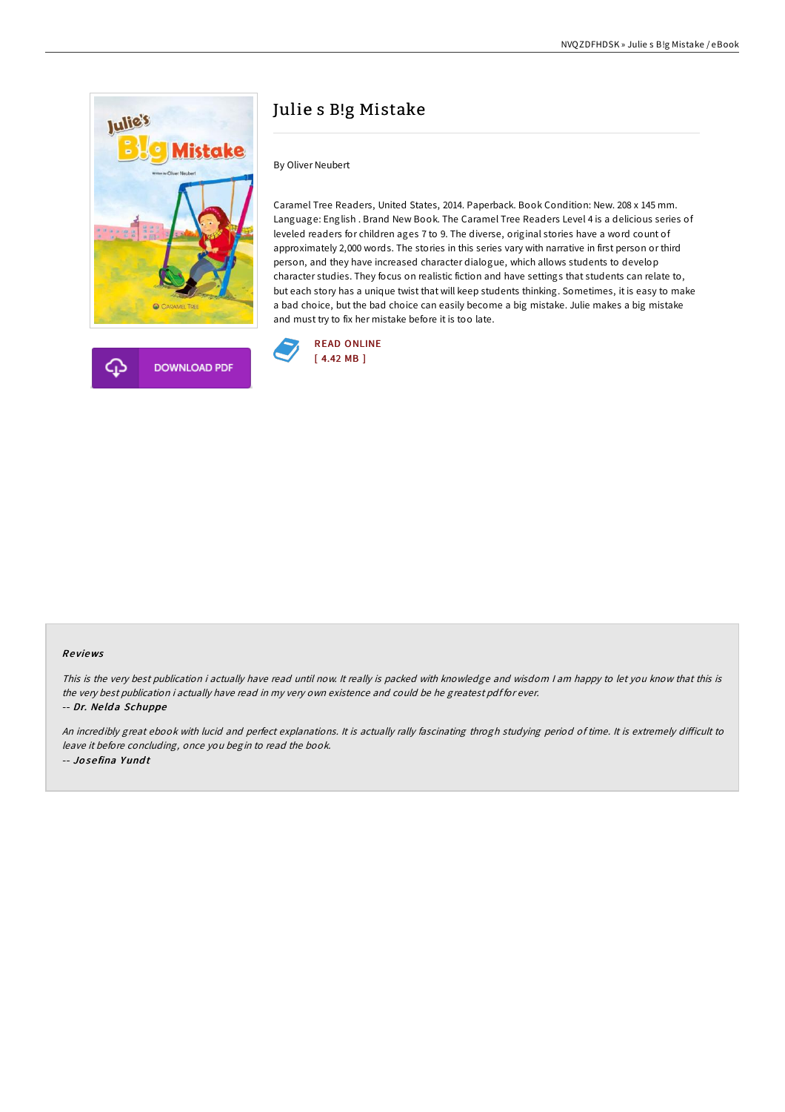

## Julie s B!g Mistake

By Oliver Neubert

Caramel Tree Readers, United States, 2014. Paperback. Book Condition: New. 208 x 145 mm. Language: English . Brand New Book. The Caramel Tree Readers Level 4 is a delicious series of leveled readers for children ages 7 to 9. The diverse, original stories have a word count of approximately 2,000 words. The stories in this series vary with narrative in first person or third person, and they have increased character dialogue, which allows students to develop character studies. They focus on realistic fiction and have settings that students can relate to, but each story has a unique twist that will keep students thinking. Sometimes, it is easy to make a bad choice, but the bad choice can easily become a big mistake. Julie makes a big mistake and must try to fix her mistake before it is too late.



## Re views

This is the very best publication i actually have read until now. It really is packed with knowledge and wisdom I am happy to let you know that this is the very best publication i actually have read in my very own existence and could be he greatest pdf for ever. -- Dr. Ne ld <sup>a</sup> Schuppe

An incredibly great ebook with lucid and perfect explanations. It is actually rally fascinating throgh studying period of time. It is extremely difficult to leave it before concluding, once you begin to read the book. -- Jo se fina Y und t